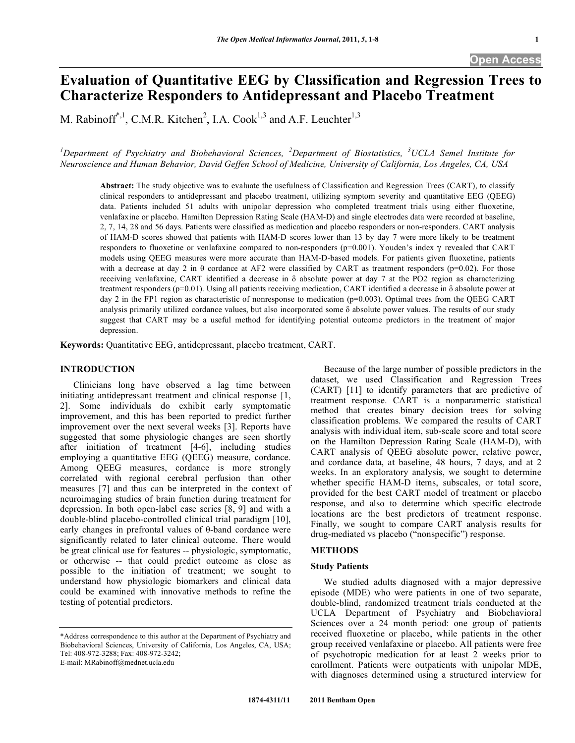# **Evaluation of Quantitative EEG by Classification and Regression Trees to Characterize Responders to Antidepressant and Placebo Treatment**

M. Rabinoff<sup>\*,1</sup>, C.M.R. Kitchen<sup>2</sup>, I.A. Cook<sup>1,3</sup> and A.F. Leuchter<sup>1,3</sup>

*1 Department of Psychiatry and Biobehavioral Sciences, <sup>2</sup> Department of Biostatistics, <sup>3</sup> UCLA Semel Institute for Neuroscience and Human Behavior, David Geffen School of Medicine, University of California, Los Angeles, CA, USA* 

**Abstract:** The study objective was to evaluate the usefulness of Classification and Regression Trees (CART), to classify clinical responders to antidepressant and placebo treatment, utilizing symptom severity and quantitative EEG (QEEG) data. Patients included 51 adults with unipolar depression who completed treatment trials using either fluoxetine, venlafaxine or placebo. Hamilton Depression Rating Scale (HAM-D) and single electrodes data were recorded at baseline, 2, 7, 14, 28 and 56 days. Patients were classified as medication and placebo responders or non-responders. CART analysis of HAM-D scores showed that patients with HAM-D scores lower than 13 by day 7 were more likely to be treatment responders to fluoxetine or venlafaxine compared to non-responders ( $p=0.001$ ). Youden's index  $\gamma$  revealed that CART models using QEEG measures were more accurate than HAM-D-based models. For patients given fluoxetine, patients with a decrease at day 2 in  $\theta$  cordance at AF2 were classified by CART as treatment responders (p=0.02). For those receiving venlafaxine, CART identified a decrease in  $\delta$  absolute power at day 7 at the PO2 region as characterizing treatment responders (p=0.01). Using all patients receiving medication, CART identified a decrease in  $\delta$  absolute power at day 2 in the FP1 region as characteristic of nonresponse to medication (p=0.003). Optimal trees from the QEEG CART analysis primarily utilized cordance values, but also incorporated some  $\delta$  absolute power values. The results of our study suggest that CART may be a useful method for identifying potential outcome predictors in the treatment of major depression.

**Keywords:** Quantitative EEG, antidepressant, placebo treatment, CART.

# **INTRODUCTION**

 Clinicians long have observed a lag time between initiating antidepressant treatment and clinical response [1, 2]. Some individuals do exhibit early symptomatic improvement, and this has been reported to predict further improvement over the next several weeks [3]. Reports have suggested that some physiologic changes are seen shortly after initiation of treatment [4-6], including studies employing a quantitative EEG (QEEG) measure, cordance. Among QEEG measures, cordance is more strongly correlated with regional cerebral perfusion than other measures [7] and thus can be interpreted in the context of neuroimaging studies of brain function during treatment for depression. In both open-label case series [8, 9] and with a double-blind placebo-controlled clinical trial paradigm [10], early changes in prefrontal values of  $\theta$ -band cordance were significantly related to later clinical outcome. There would be great clinical use for features -- physiologic, symptomatic, or otherwise -- that could predict outcome as close as possible to the initiation of treatment; we sought to understand how physiologic biomarkers and clinical data could be examined with innovative methods to refine the testing of potential predictors.

E-mail: MRabinoff@mednet.ucla.edu

 Because of the large number of possible predictors in the dataset, we used Classification and Regression Trees (CART) [11] to identify parameters that are predictive of treatment response. CART is a nonparametric statistical method that creates binary decision trees for solving classification problems. We compared the results of CART analysis with individual item, sub-scale score and total score on the Hamilton Depression Rating Scale (HAM-D), with CART analysis of QEEG absolute power, relative power, and cordance data, at baseline, 48 hours, 7 days, and at 2 weeks. In an exploratory analysis, we sought to determine whether specific HAM-D items, subscales, or total score, provided for the best CART model of treatment or placebo response, and also to determine which specific electrode locations are the best predictors of treatment response. Finally, we sought to compare CART analysis results for drug-mediated vs placebo ("nonspecific") response.

# **METHODS**

# **Study Patients**

 We studied adults diagnosed with a major depressive episode (MDE) who were patients in one of two separate, double-blind, randomized treatment trials conducted at the UCLA Department of Psychiatry and Biobehavioral Sciences over a 24 month period: one group of patients received fluoxetine or placebo, while patients in the other group received venlafaxine or placebo. All patients were free of psychotropic medication for at least 2 weeks prior to enrollment. Patients were outpatients with unipolar MDE, with diagnoses determined using a structured interview for

<sup>\*</sup>Address correspondence to this author at the Department of Psychiatry and Biobehavioral Sciences, University of California, Los Angeles, CA, USA; Tel: 408-972-3288; Fax: 408-972-3242;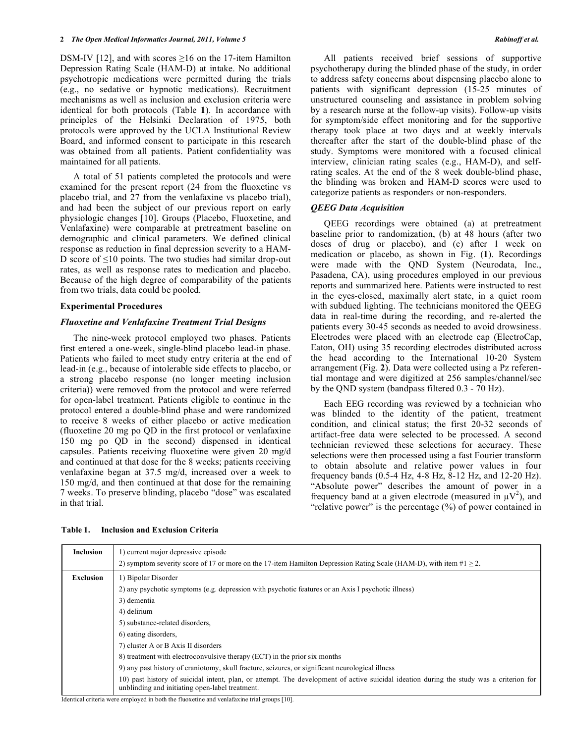DSM-IV [12], and with scores  $\geq 16$  on the 17-item Hamilton Depression Rating Scale (HAM-D) at intake. No additional psychotropic medications were permitted during the trials (e.g., no sedative or hypnotic medications). Recruitment mechanisms as well as inclusion and exclusion criteria were identical for both protocols (Table **1**). In accordance with principles of the Helsinki Declaration of 1975, both protocols were approved by the UCLA Institutional Review Board, and informed consent to participate in this research was obtained from all patients. Patient confidentiality was maintained for all patients.

 A total of 51 patients completed the protocols and were examined for the present report (24 from the fluoxetine vs placebo trial, and 27 from the venlafaxine vs placebo trial), and had been the subject of our previous report on early physiologic changes [10]. Groups (Placebo, Fluoxetine, and Venlafaxine) were comparable at pretreatment baseline on demographic and clinical parameters. We defined clinical response as reduction in final depression severity to a HAM-D score of  $\leq 10$  points. The two studies had similar drop-out rates, as well as response rates to medication and placebo. Because of the high degree of comparability of the patients from two trials, data could be pooled.

# **Experimental Procedures**

# *Fluoxetine and Venlafaxine Treatment Trial Designs*

 The nine-week protocol employed two phases. Patients first entered a one-week, single-blind placebo lead-in phase. Patients who failed to meet study entry criteria at the end of lead-in (e.g., because of intolerable side effects to placebo, or a strong placebo response (no longer meeting inclusion criteria)) were removed from the protocol and were referred for open-label treatment. Patients eligible to continue in the protocol entered a double-blind phase and were randomized to receive 8 weeks of either placebo or active medication (fluoxetine 20 mg po QD in the first protocol or venlafaxine 150 mg po QD in the second) dispensed in identical capsules. Patients receiving fluoxetine were given 20 mg/d and continued at that dose for the 8 weeks; patients receiving venlafaxine began at 37.5 mg/d, increased over a week to 150 mg/d, and then continued at that dose for the remaining 7 weeks. To preserve blinding, placebo "dose" was escalated in that trial.

 All patients received brief sessions of supportive psychotherapy during the blinded phase of the study, in order to address safety concerns about dispensing placebo alone to patients with significant depression (15-25 minutes of unstructured counseling and assistance in problem solving by a research nurse at the follow-up visits). Follow-up visits for symptom/side effect monitoring and for the supportive therapy took place at two days and at weekly intervals thereafter after the start of the double-blind phase of the study. Symptoms were monitored with a focused clinical interview, clinician rating scales (e.g., HAM-D), and selfrating scales. At the end of the 8 week double-blind phase, the blinding was broken and HAM-D scores were used to categorize patients as responders or non-responders.

# *QEEG Data Acquisition*

 QEEG recordings were obtained (a) at pretreatment baseline prior to randomization, (b) at 48 hours (after two doses of drug or placebo), and (c) after 1 week on medication or placebo, as shown in Fig. (**1**). Recordings were made with the QND System (Neurodata, Inc., Pasadena, CA), using procedures employed in our previous reports and summarized here. Patients were instructed to rest in the eyes-closed, maximally alert state, in a quiet room with subdued lighting. The technicians monitored the QEEG data in real-time during the recording, and re-alerted the patients every 30-45 seconds as needed to avoid drowsiness. Electrodes were placed with an electrode cap (ElectroCap, Eaton, OH) using 35 recording electrodes distributed across the head according to the International 10-20 System arrangement (Fig. **2**). Data were collected using a Pz referential montage and were digitized at 256 samples/channel/sec by the QND system (bandpass filtered 0.3 - 70 Hz).

 Each EEG recording was reviewed by a technician who was blinded to the identity of the patient, treatment condition, and clinical status; the first 20-32 seconds of artifact-free data were selected to be processed. A second technician reviewed these selections for accuracy. These selections were then processed using a fast Fourier transform to obtain absolute and relative power values in four frequency bands (0.5-4 Hz, 4-8 Hz, 8-12 Hz, and 12-20 Hz). "Absolute power" describes the amount of power in a frequency band at a given electrode (measured in  $\mu$ V<sup>2</sup>), and "relative power" is the percentage (%) of power contained in

| 1) current major depressive episode                                                                                                                                                        |  |  |  |  |
|--------------------------------------------------------------------------------------------------------------------------------------------------------------------------------------------|--|--|--|--|
| 2) symptom severity score of 17 or more on the 17-item Hamilton Depression Rating Scale (HAM-D), with item $\#1 > 2$ .                                                                     |  |  |  |  |
| 1) Bipolar Disorder                                                                                                                                                                        |  |  |  |  |
| 2) any psychotic symptoms (e.g. depression with psychotic features or an Axis I psychotic illness)                                                                                         |  |  |  |  |
| 3) dementia                                                                                                                                                                                |  |  |  |  |
| 4) delirium                                                                                                                                                                                |  |  |  |  |
| 5) substance-related disorders.                                                                                                                                                            |  |  |  |  |
| 6) eating disorders.                                                                                                                                                                       |  |  |  |  |
| 7) cluster A or B Axis II disorders                                                                                                                                                        |  |  |  |  |
| 8) treatment with electroconvulsive therapy (ECT) in the prior six months                                                                                                                  |  |  |  |  |
| 9) any past history of craniotomy, skull fracture, seizures, or significant neurological illness                                                                                           |  |  |  |  |
| 10) past history of suicidal intent, plan, or attempt. The development of active suicidal ideation during the study was a criterion for<br>unblinding and initiating open-label treatment. |  |  |  |  |
|                                                                                                                                                                                            |  |  |  |  |

**Table 1. Inclusion and Exclusion Criteria** 

oth the fluoxetine and venlafaxine trial groups [10].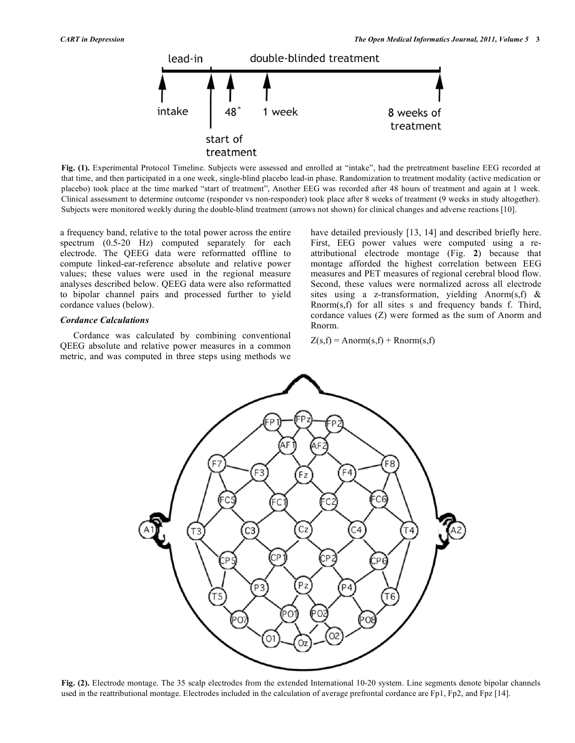

**Fig. (1).** Experimental Protocol Timeline. Subjects were assessed and enrolled at "intake", had the pretreatment baseline EEG recorded at that time, and then participated in a one week, single-blind placebo lead-in phase. Randomization to treatment modality (active medication or placebo) took place at the time marked "start of treatment", Another EEG was recorded after 48 hours of treatment and again at 1 week. Clinical assessment to determine outcome (responder vs non-responder) took place after 8 weeks of treatment (9 weeks in study altogether). Subjects were monitored weekly during the double-blind treatment (arrows not shown) for clinical changes and adverse reactions [10].

a frequency band, relative to the total power across the entire spectrum (0.5-20 Hz) computed separately for each electrode. The QEEG data were reformatted offline to compute linked-ear-reference absolute and relative power values; these values were used in the regional measure analyses described below. QEEG data were also reformatted to bipolar channel pairs and processed further to yield cordance values (below).

# *Cordance Calculations*

 Cordance was calculated by combining conventional QEEG absolute and relative power measures in a common metric, and was computed in three steps using methods we have detailed previously [13, 14] and described briefly here. First, EEG power values were computed using a reattributional electrode montage (Fig. **2**) because that montage afforded the highest correlation between EEG measures and PET measures of regional cerebral blood flow. Second, these values were normalized across all electrode sites using a z-transformation, yielding Anorm(s,f)  $\&$ Rnorm(s,f) for all sites s and frequency bands f. Third, cordance values (Z) were formed as the sum of Anorm and Rnorm.

$$
Z(s,f) = \text{Anorm}(s,f) + \text{Rnorm}(s,f)
$$



**Fig. (2).** Electrode montage. The 35 scalp electrodes from the extended International 10-20 system. Line segments denote bipolar channels used in the reattributional montage. Electrodes included in the calculation of average prefrontal cordance are Fp1, Fp2, and Fpz [14].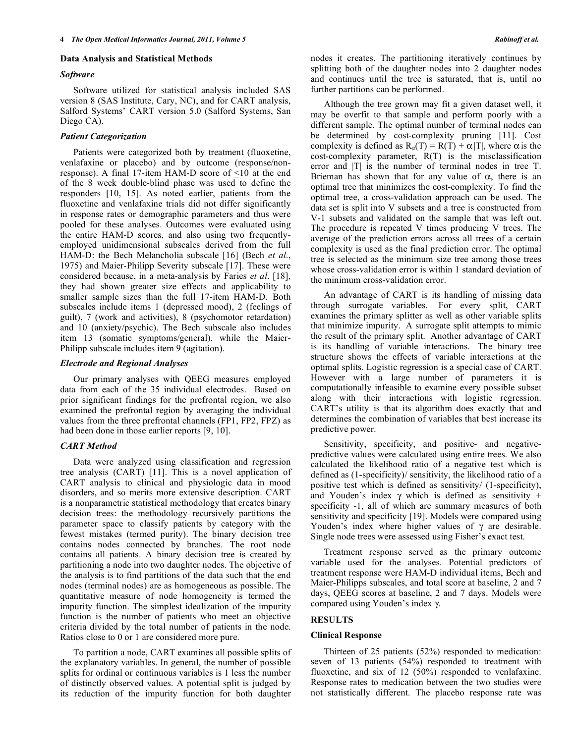# **Data Analysis and Statistical Methods**

# *Software*

 Software utilized for statistical analysis included SAS version 8 (SAS Institute, Cary, NC), and for CART analysis, Salford Systems' CART version 5.0 (Salford Systems, San Diego CA).

# *Patient Categorization*

 Patients were categorized both by treatment (fluoxetine, venlafaxine or placebo) and by outcome (response/nonresponse). A final 17-item HAM-D score of <10 at the end of the 8 week double-blind phase was used to define the responders [10, 15]. As noted earlier, patients from the fluoxetine and venlafaxine trials did not differ significantly in response rates or demographic parameters and thus were pooled for these analyses. Outcomes were evaluated using the entire HAM-D scores, and also using two frequentlyemployed unidimensional subscales derived from the full HAM-D: the Bech Melancholia subscale [16] (Bech *et al*., 1975) and Maier-Philipp Severity subscale [17]. These were considered because, in a meta-analysis by Faries *et al*. [18], they had shown greater size effects and applicability to smaller sample sizes than the full 17-item HAM-D. Both subscales include items 1 (depressed mood), 2 (feelings of guilt), 7 (work and activities), 8 (psychomotor retardation) and 10 (anxiety/psychic). The Bech subscale also includes item 13 (somatic symptoms/general), while the Maier-Philipp subscale includes item 9 (agitation).

#### *Electrode and Regional Analyses*

 Our primary analyses with QEEG measures employed data from each of the 35 individual electrodes. Based on prior significant findings for the prefrontal region, we also examined the prefrontal region by averaging the individual values from the three prefrontal channels (FP1, FP2, FPZ) as had been done in those earlier reports [9, 10].

# *CART Method*

 Data were analyzed using classification and regression tree analysis (CART) [11]. This is a novel application of CART analysis to clinical and physiologic data in mood disorders, and so merits more extensive description. CART is a nonparametric statistical methodology that creates binary decision trees: the methodology recursively partitions the parameter space to classify patients by category with the fewest mistakes (termed purity). The binary decision tree contains nodes connected by branches. The root node contains all patients. A binary decision tree is created by partitioning a node into two daughter nodes. The objective of the analysis is to find partitions of the data such that the end nodes (terminal nodes) are as homogeneous as possible. The quantitative measure of node homogeneity is termed the impurity function. The simplest idealization of the impurity function is the number of patients who meet an objective criteria divided by the total number of patients in the node. Ratios close to 0 or 1 are considered more pure.

 To partition a node, CART examines all possible splits of the explanatory variables. In general, the number of possible splits for ordinal or continuous variables is 1 less the number of distinctly observed values. A potential split is judged by its reduction of the impurity function for both daughter

nodes it creates. The partitioning iteratively continues by splitting both of the daughter nodes into 2 daughter nodes and continues until the tree is saturated, that is, until no further partitions can be performed.

 Although the tree grown may fit a given dataset well, it may be overfit to that sample and perform poorly with a different sample. The optimal number of terminal nodes can be determined by cost-complexity pruning [11]. Cost complexity is defined as  $R_o(T) = R(T) + \alpha |T|$ , where  $\alpha$  is the cost-complexity parameter, R(T) is the misclassification error and  $|T|$  is the number of terminal nodes in tree T. Brieman has shown that for any value of  $\alpha$ , there is an optimal tree that minimizes the cost-complexity. To find the optimal tree, a cross-validation approach can be used. The data set is split into V subsets and a tree is constructed from V-1 subsets and validated on the sample that was left out. The procedure is repeated V times producing V trees. The average of the prediction errors across all trees of a certain complexity is used as the final prediction error. The optimal tree is selected as the minimum size tree among those trees whose cross-validation error is within 1 standard deviation of the minimum cross-validation error.

 An advantage of CART is its handling of missing data through surrogate variables. For every split, CART examines the primary splitter as well as other variable splits that minimize impurity. A surrogate split attempts to mimic the result of the primary split. Another advantage of CART is its handling of variable interactions. The binary tree structure shows the effects of variable interactions at the optimal splits. Logistic regression is a special case of CART. However with a large number of parameters it is computationally infeasible to examine every possible subset along with their interactions with logistic regression. CART's utility is that its algorithm does exactly that and determines the combination of variables that best increase its predictive power.

 Sensitivity, specificity, and positive- and negativepredictive values were calculated using entire trees. We also calculated the likelihood ratio of a negative test which is defined as (1-specificity)/ sensitivity, the likelihood ratio of a positive test which is defined as sensitivity/ (1-specificity), and Youden's index  $\gamma$  which is defined as sensitivity + specificity -1, all of which are summary measures of both sensitivity and specificity [19]. Models were compared using Youden's index where higher values of  $\gamma$  are desirable. Single node trees were assessed using Fisher's exact test.

 Treatment response served as the primary outcome variable used for the analyses. Potential predictors of treatment response were HAM-D individual items, Bech and Maier-Philipps subscales, and total score at baseline, 2 and 7 days, QEEG scores at baseline, 2 and 7 days. Models were compared using Youden's index  $\gamma$ .

# **RESULTS**

# **Clinical Response**

 Thirteen of 25 patients (52%) responded to medication: seven of 13 patients (54%) responded to treatment with fluoxetine, and six of 12 (50%) responded to venlafaxine. Response rates to medication between the two studies were not statistically different. The placebo response rate was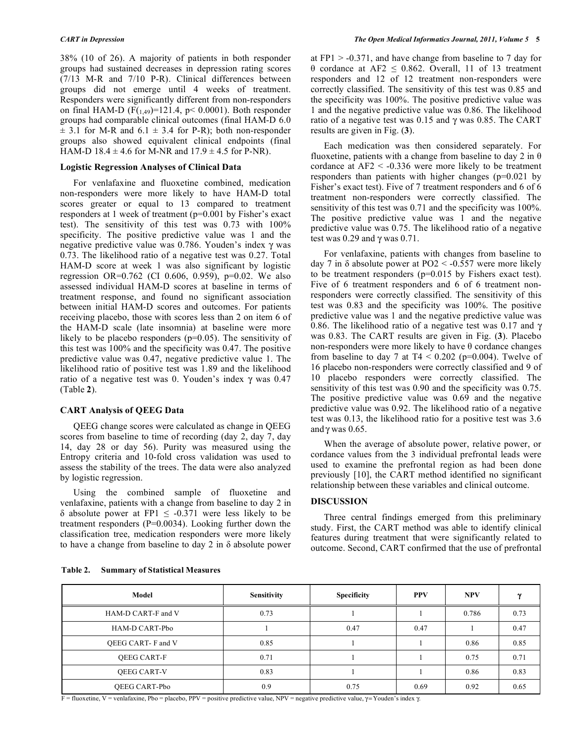38% (10 of 26). A majority of patients in both responder groups had sustained decreases in depression rating scores (7/13 M-R and 7/10 P-R). Clinical differences between groups did not emerge until 4 weeks of treatment. Responders were significantly different from non-responders on final HAM-D ( $F(1,49)$ =121.4, p< 0.0001). Both responder groups had comparable clinical outcomes (final HAM-D 6.0  $\pm$  3.1 for M-R and 6.1  $\pm$  3.4 for P-R); both non-responder groups also showed equivalent clinical endpoints (final HAM-D 18.4  $\pm$  4.6 for M-NR and 17.9  $\pm$  4.5 for P-NR).

# **Logistic Regression Analyses of Clinical Data**

 For venlafaxine and fluoxetine combined, medication non-responders were more likely to have HAM-D total scores greater or equal to 13 compared to treatment responders at 1 week of treatment (p=0.001 by Fisher's exact test). The sensitivity of this test was 0.73 with 100% specificity. The positive predictive value was 1 and the negative predictive value was 0.786. Youden's index  $\gamma$  was 0.73. The likelihood ratio of a negative test was 0.27. Total HAM-D score at week 1 was also significant by logistic regression OR=0.762 (CI 0.606, 0.959), p=0.02. We also assessed individual HAM-D scores at baseline in terms of treatment response, and found no significant association between initial HAM-D scores and outcomes. For patients receiving placebo, those with scores less than 2 on item 6 of the HAM-D scale (late insomnia) at baseline were more likely to be placebo responders (p=0.05). The sensitivity of this test was 100% and the specificity was 0.47. The positive predictive value was 0.47, negative predictive value 1. The likelihood ratio of positive test was 1.89 and the likelihood ratio of a negative test was 0. Youden's index  $\gamma$  was 0.47 (Table **2**).

# **CART Analysis of QEEG Data**

 QEEG change scores were calculated as change in QEEG scores from baseline to time of recording (day 2, day 7, day 14, day 28 or day 56). Purity was measured using the Entropy criteria and 10-fold cross validation was used to assess the stability of the trees. The data were also analyzed by logistic regression.

 Using the combined sample of fluoxetine and venlafaxine, patients with a change from baseline to day 2 in  $\delta$  absolute power at FP1  $\leq$  -0.371 were less likely to be treatment responders (P=0.0034). Looking further down the classification tree, medication responders were more likely to have a change from baseline to day  $2$  in  $\delta$  absolute power at  $FPI > -0.371$ , and have change from baseline to 7 day for  $\theta$  cordance at AF2  $\leq$  0.862. Overall, 11 of 13 treatment responders and 12 of 12 treatment non-responders were correctly classified. The sensitivity of this test was 0.85 and the specificity was 100%. The positive predictive value was 1 and the negative predictive value was 0.86. The likelihood ratio of a negative test was  $0.15$  and  $\gamma$  was 0.85. The CART results are given in Fig. (**3**).

 Each medication was then considered separately. For fluoxetine, patients with a change from baseline to day 2 in  $\theta$ cordance at  $AF2 < -0.336$  were more likely to be treatment responders than patients with higher changes (p=0.021 by Fisher's exact test). Five of 7 treatment responders and 6 of 6 treatment non-responders were correctly classified. The sensitivity of this test was 0.71 and the specificity was 100%. The positive predictive value was 1 and the negative predictive value was 0.75. The likelihood ratio of a negative test was 0.29 and  $\gamma$  was 0.71.

 For venlafaxine, patients with changes from baseline to day 7 in  $\delta$  absolute power at PO2 < -0.557 were more likely to be treatment responders (p=0.015 by Fishers exact test). Five of 6 treatment responders and 6 of 6 treatment nonresponders were correctly classified. The sensitivity of this test was 0.83 and the specificity was 100%. The positive predictive value was 1 and the negative predictive value was 0.86. The likelihood ratio of a negative test was 0.17 and  $\gamma$ was 0.83. The CART results are given in Fig. (**3**). Placebo non-responders were more likely to have  $\theta$  cordance changes from baseline to day 7 at  $T4 < 0.202$  (p=0.004). Twelve of 16 placebo non-responders were correctly classified and 9 of 10 placebo responders were correctly classified. The sensitivity of this test was 0.90 and the specificity was 0.75. The positive predictive value was 0.69 and the negative predictive value was 0.92. The likelihood ratio of a negative test was 0.13, the likelihood ratio for a positive test was 3.6 and  $\gamma$  was 0.65.

 When the average of absolute power, relative power, or cordance values from the 3 individual prefrontal leads were used to examine the prefrontal region as had been done previously [10], the CART method identified no significant relationship between these variables and clinical outcome.

# **DISCUSSION**

 Three central findings emerged from this preliminary study. First, the CART method was able to identify clinical features during treatment that were significantly related to outcome. Second, CART confirmed that the use of prefrontal

| Model                    | <b>Sensitivity</b> | <b>Specificity</b> | <b>PPV</b> | <b>NPV</b> | w    |
|--------------------------|--------------------|--------------------|------------|------------|------|
| HAM-D CART-F and V       | 0.73               |                    |            | 0.786      | 0.73 |
| HAM-D CART-Pbo           |                    | 0.47               | 0.47       |            | 0.47 |
| <b>OEEG CART-F and V</b> | 0.85               |                    |            | 0.86       | 0.85 |
| <b>OEEG CART-F</b>       | 0.71               |                    |            | 0.75       | 0.71 |
| <b>OEEG CART-V</b>       | 0.83               |                    |            | 0.86       | 0.83 |
| OEEG CART-Pbo            | 0.9                | 0.75               | 0.69       | 0.92       | 0.65 |

#### **Table 2. Summary of Statistical Measures**

 $F =$  fluoxetine, V = venlafaxine, Pbo = placebo, PPV = positive predictive value, NPV = negative predictive value,  $\gamma$  = Youden's index  $\gamma$ .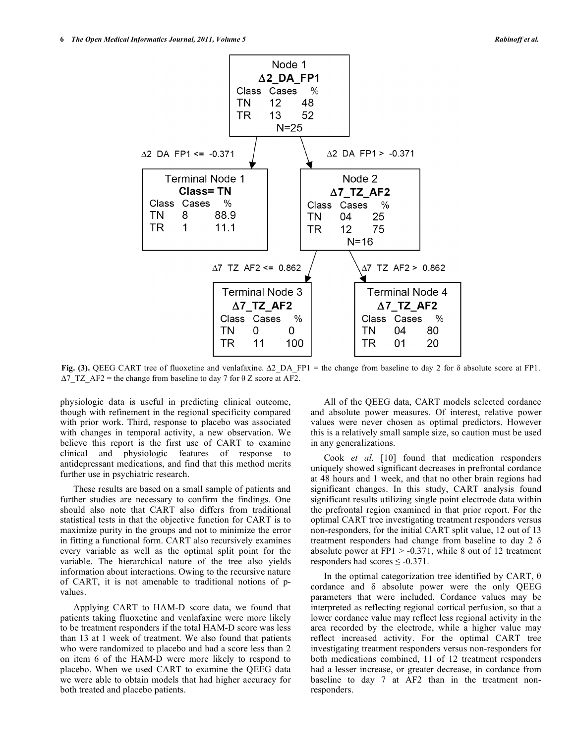

Fig. (3). QEEG CART tree of fluoxetine and venlafaxine.  $\Delta 2$  DA FP1 = the change from baseline to day 2 for  $\delta$  absolute score at FP1.  $\Delta$ 7 TZ AF2 = the change from baseline to day 7 for  $\theta$  Z score at AF2.

physiologic data is useful in predicting clinical outcome, though with refinement in the regional specificity compared with prior work. Third, response to placebo was associated with changes in temporal activity, a new observation. We believe this report is the first use of CART to examine clinical and physiologic features of response to antidepressant medications, and find that this method merits further use in psychiatric research.

 These results are based on a small sample of patients and further studies are necessary to confirm the findings. One should also note that CART also differs from traditional statistical tests in that the objective function for CART is to maximize purity in the groups and not to minimize the error in fitting a functional form. CART also recursively examines every variable as well as the optimal split point for the variable. The hierarchical nature of the tree also yields information about interactions. Owing to the recursive nature of CART, it is not amenable to traditional notions of pvalues.

 Applying CART to HAM-D score data, we found that patients taking fluoxetine and venlafaxine were more likely to be treatment responders if the total HAM-D score was less than 13 at 1 week of treatment. We also found that patients who were randomized to placebo and had a score less than 2 on item 6 of the HAM-D were more likely to respond to placebo. When we used CART to examine the QEEG data we were able to obtain models that had higher accuracy for both treated and placebo patients.

 All of the QEEG data, CART models selected cordance and absolute power measures. Of interest, relative power values were never chosen as optimal predictors. However this is a relatively small sample size, so caution must be used in any generalizations.

 Cook *et al*. [10] found that medication responders uniquely showed significant decreases in prefrontal cordance at 48 hours and 1 week, and that no other brain regions had significant changes. In this study, CART analysis found significant results utilizing single point electrode data within the prefrontal region examined in that prior report. For the optimal CART tree investigating treatment responders versus non-responders, for the initial CART split value, 12 out of 13 treatment responders had change from baseline to day 2  $\delta$ absolute power at  $FPI > -0.371$ , while 8 out of 12 treatment responders had scores  $\leq$  -0.371.

In the optimal categorization tree identified by CART,  $\theta$ cordance and  $\delta$  absolute power were the only QEEG parameters that were included. Cordance values may be interpreted as reflecting regional cortical perfusion, so that a lower cordance value may reflect less regional activity in the area recorded by the electrode, while a higher value may reflect increased activity. For the optimal CART tree investigating treatment responders versus non-responders for both medications combined, 11 of 12 treatment responders had a lesser increase, or greater decrease, in cordance from baseline to day 7 at AF2 than in the treatment nonresponders.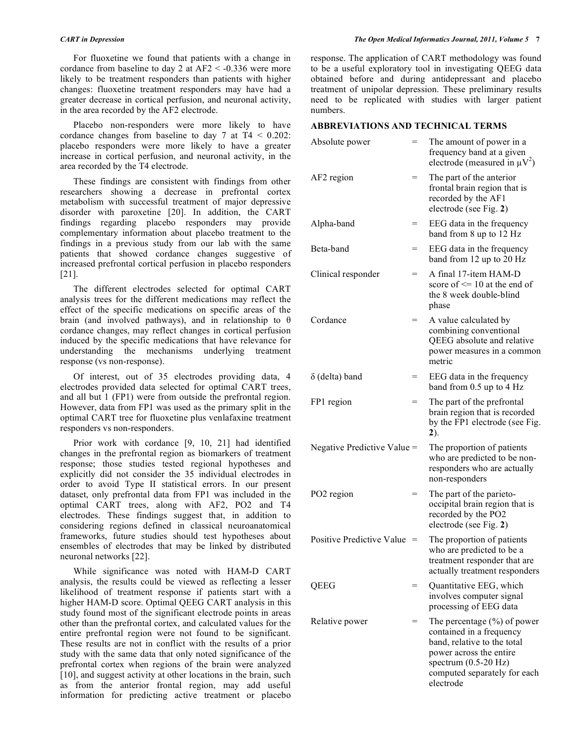For fluoxetine we found that patients with a change in cordance from baseline to day 2 at  $AF2 < -0.336$  were more likely to be treatment responders than patients with higher changes: fluoxetine treatment responders may have had a greater decrease in cortical perfusion, and neuronal activity, in the area recorded by the AF2 electrode.

 Placebo non-responders were more likely to have cordance changes from baseline to day 7 at  $T4 < 0.202$ : placebo responders were more likely to have a greater increase in cortical perfusion, and neuronal activity, in the area recorded by the T4 electrode.

 These findings are consistent with findings from other researchers showing a decrease in prefrontal cortex metabolism with successful treatment of major depressive disorder with paroxetine [20]. In addition, the CART findings regarding placebo responders may provide complementary information about placebo treatment to the findings in a previous study from our lab with the same patients that showed cordance changes suggestive of increased prefrontal cortical perfusion in placebo responders [21].

 The different electrodes selected for optimal CART analysis trees for the different medications may reflect the effect of the specific medications on specific areas of the brain (and involved pathways), and in relationship to  $\theta$ cordance changes, may reflect changes in cortical perfusion induced by the specific medications that have relevance for understanding the mechanisms underlying treatment response (vs non-response).

 Of interest, out of 35 electrodes providing data, 4 electrodes provided data selected for optimal CART trees, and all but 1 (FP1) were from outside the prefrontal region. However, data from FP1 was used as the primary split in the optimal CART tree for fluoxetine plus venlafaxine treatment responders vs non-responders.

Prior work with cordance [9, 10, 21] had identified changes in the prefrontal region as biomarkers of treatment response; those studies tested regional hypotheses and explicitly did not consider the 35 individual electrodes in order to avoid Type II statistical errors. In our present dataset, only prefrontal data from FP1 was included in the optimal CART trees, along with AF2, PO2 and T4 electrodes. These findings suggest that, in addition to considering regions defined in classical neuroanatomical frameworks, future studies should test hypotheses about ensembles of electrodes that may be linked by distributed neuronal networks [22].

 While significance was noted with HAM-D CART analysis, the results could be viewed as reflecting a lesser likelihood of treatment response if patients start with a higher HAM-D score. Optimal QEEG CART analysis in this study found most of the significant electrode points in areas other than the prefrontal cortex, and calculated values for the entire prefrontal region were not found to be significant. These results are not in conflict with the results of a prior study with the same data that only noted significance of the prefrontal cortex when regions of the brain were analyzed [10], and suggest activity at other locations in the brain, such as from the anterior frontal region, may add useful information for predicting active treatment or placebo

response. The application of CART methodology was found to be a useful exploratory tool in investigating QEEG data obtained before and during antidepressant and placebo treatment of unipolar depression. These preliminary results need to be replicated with studies with larger patient numbers.

# **ABBREVIATIONS AND TECHNICAL TERMS**

| Absolute power              | =   | The amount of power in a<br>frequency band at a given<br>electrode (measured in $\mu V^2$ )                                                                                                         |
|-----------------------------|-----|-----------------------------------------------------------------------------------------------------------------------------------------------------------------------------------------------------|
| AF2 region                  | $=$ | The part of the anterior<br>frontal brain region that is<br>recorded by the AF1<br>electrode (see Fig. 2)                                                                                           |
| Alpha-band                  | $=$ | EEG data in the frequency<br>band from 8 up to 12 Hz                                                                                                                                                |
| Beta-band                   | =   | EEG data in the frequency<br>band from 12 up to 20 Hz                                                                                                                                               |
| Clinical responder          | $=$ | A final 17-item HAM-D<br>score of $\leq$ 10 at the end of<br>the 8 week double-blind<br>phase                                                                                                       |
| Cordance                    | $=$ | A value calculated by<br>combining conventional<br>QEEG absolute and relative<br>power measures in a common<br>metric                                                                               |
| $\delta$ (delta) band       | $=$ | EEG data in the frequency<br>band from 0.5 up to 4 Hz                                                                                                                                               |
| FP1 region                  | $=$ | The part of the prefrontal<br>brain region that is recorded<br>by the FP1 electrode (see Fig.<br>2).                                                                                                |
| Negative Predictive Value = |     | The proportion of patients<br>who are predicted to be non-<br>responders who are actually<br>non-responders                                                                                         |
| PO2 region                  | $=$ | The part of the parieto-<br>occipital brain region that is<br>recorded by the PO2<br>electrode (see Fig. 2)                                                                                         |
| Positive Predictive Value   | $=$ | The proportion of patients<br>who are predicted to be a<br>treatment responder that are<br>actually treatment responders                                                                            |
| QEEG                        | =   | Quantitative EEG, which<br>involves computer signal<br>processing of EEG data                                                                                                                       |
| Relative power              | $=$ | The percentage $(\%)$ of power<br>contained in a frequency<br>band, relative to the total<br>power across the entire<br>spectrum $(0.5-20 \text{ Hz})$<br>computed separately for each<br>electrode |